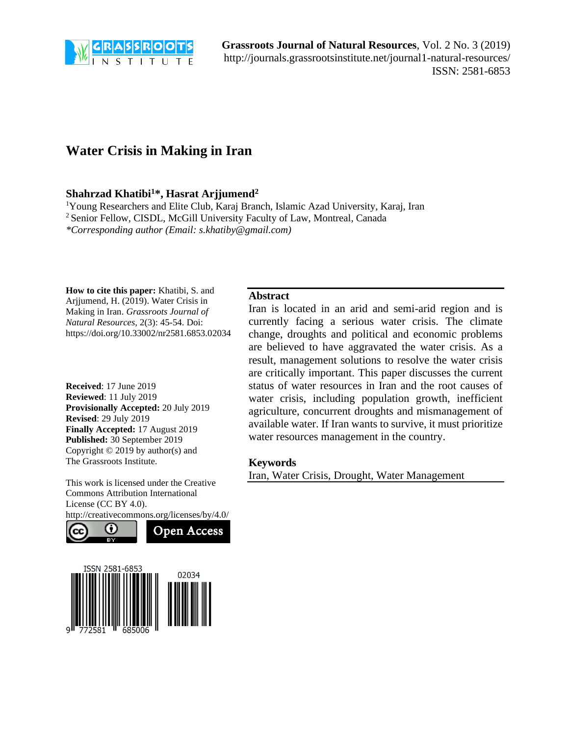

**Grassroots Journal of Natural Resources**, Vol. 2 No. 3 (2019) <http://journals.grassrootsinstitute.net/journal1-natural-resources/> ISSN: 2581-6853

# **Water Crisis in Making in Iran**

## **Shahrzad Khatibi<sup>1</sup>\*, Hasrat Arjjumend<sup>2</sup>**

<sup>1</sup>Young Researchers and Elite Club, Karaj Branch, Islamic Azad University, Karaj, Iran <sup>2</sup> Senior Fellow, CISDL, McGill University Faculty of Law, Montreal, Canada *\*Corresponding author (Email: s.khatiby@gmail.com)*

**How to cite this paper:** Khatibi, S. and Arjjumend, H. (2019). Water Crisis in Making in Iran. *Grassroots Journal of Natural Resources*, 2(3): 45-54. Doi: https://doi.org/10.33002/nr2581.6853.02034

**Received**: 17 June 2019 **Reviewed**: 11 July 2019 **Provisionally Accepted:** 20 July 2019 **Revised**: 29 July 2019 **Finally Accepted:** 17 August 2019 **Published:** 30 September 2019 Copyright © 2019 by author(s) and The Grassroots Institute.

This work is licensed under the Creative Commons Attribution International License (CC BY 4.0).





#### **Abstract**

Iran is located in an arid and semi-arid region and is currently facing a serious water crisis. The climate change, droughts and political and economic problems are believed to have aggravated the water crisis. As a result, management solutions to resolve the water crisis are critically important. This paper discusses the current status of water resources in Iran and the root causes of water crisis, including population growth, inefficient agriculture, concurrent droughts and mismanagement of available water. If Iran wants to survive, it must prioritize water resources management in the country.

#### **Keywords**

Iran, Water Crisis, Drought, Water Management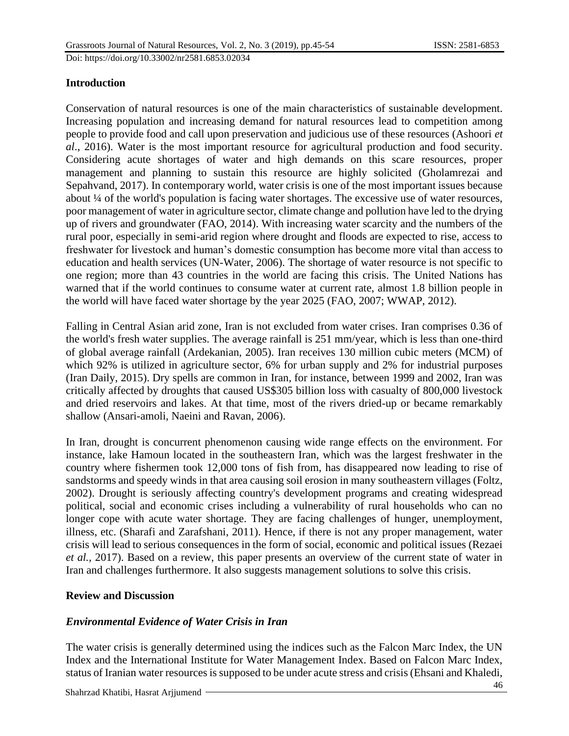# **Introduction**

Conservation of natural resources is one of the main characteristics of sustainable development. Increasing population and increasing demand for natural resources lead to competition among people to provide food and call upon preservation and judicious use of these resources (Ashoori *et al*., 2016). Water is the most important resource for agricultural production and food security. Considering acute shortages of water and high demands on this scare resources, proper management and planning to sustain this resource are highly solicited (Gholamrezai and Sepahvand, 2017). In contemporary world, water crisis is one of the most important issues because about ¼ of the world's population is facing water shortages. The excessive use of water resources, poor management of water in agriculture sector, climate change and pollution have led to the drying up of rivers and groundwater (FAO, 2014). With increasing water scarcity and the numbers of the rural poor, especially in semi-arid region where drought and floods are expected to rise, access to freshwater for livestock and human's domestic consumption has become more vital than access to education and health services (UN-Water, 2006). The shortage of water resource is not specific to one region; more than 43 countries in the world are facing this crisis. The United Nations has warned that if the world continues to consume water at current rate, almost 1.8 billion people in the world will have faced water shortage by the year 2025 (FAO, 2007; WWAP, 2012).

Falling in Central Asian arid zone, Iran is not excluded from water crises. Iran comprises 0.36 of the world's fresh water supplies. The average rainfall is 251 mm/year, which is less than one-third of global average rainfall (Ardekanian, 2005). Iran receives 130 million cubic meters (MCM) of which 92% is utilized in agriculture sector, 6% for urban supply and 2% for industrial purposes (Iran Daily, 2015). Dry spells are common in Iran, for instance, between 1999 and 2002, Iran was critically affected by droughts that caused US\$305 billion loss with casualty of 800,000 livestock and dried reservoirs and lakes. At that time, most of the rivers dried-up or became remarkably shallow (Ansari-amoli, Naeini and Ravan, 2006).

In Iran, drought is concurrent phenomenon causing wide range effects on the environment. For instance, lake Hamoun located in the southeastern Iran, which was the largest freshwater in the country where fishermen took 12,000 tons of fish from, has disappeared now leading to rise of sandstorms and speedy winds in that area causing soil erosion in many southeastern villages (Foltz, 2002). Drought is seriously affecting country's development programs and creating widespread political, social and economic crises including a vulnerability of rural households who can no longer cope with acute water shortage. They are facing challenges of hunger, unemployment, illness, etc. (Sharafi and Zarafshani, 2011). Hence, if there is not any proper management, water crisis will lead to serious consequences in the form of social, economic and political issues (Rezaei *et al.,* 2017). Based on a review, this paper presents an overview of the current state of water in Iran and challenges furthermore. It also suggests management solutions to solve this crisis.

## **Review and Discussion**

# *Environmental Evidence of Water Crisis in Iran*

The water crisis is generally determined using the indices such as the Falcon Marc Index, the UN Index and the International Institute for Water Management Index. Based on Falcon Marc Index, status of Iranian water resources is supposed to be under acute stress and crisis (Ehsani and Khaledi,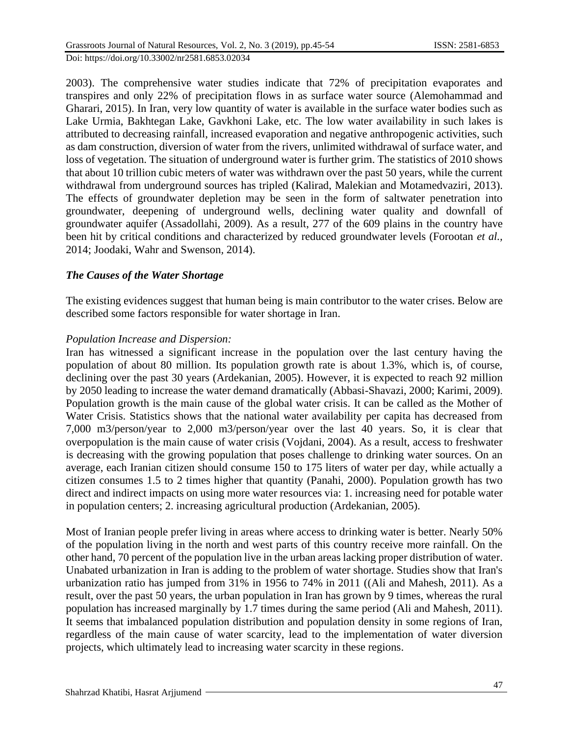Doi: https://doi.org/10.33002/nr2581.6853.02034

2003). The comprehensive water studies indicate that 72% of precipitation evaporates and transpires and only 22% of precipitation flows in as surface water source (Alemohammad and Gharari, 2015). In Iran, very low quantity of water is available in the surface water bodies such as Lake Urmia, Bakhtegan Lake, Gavkhoni Lake, etc. The low water availability in such lakes is attributed to decreasing rainfall, increased evaporation and negative anthropogenic activities, such as dam construction, diversion of water from the rivers, unlimited withdrawal of surface water, and loss of vegetation. The situation of underground water is further grim. The statistics of 2010 shows that about 10 trillion cubic meters of water was withdrawn over the past 50 years, while the current withdrawal from underground sources has tripled (Kalirad, Malekian and Motamedvaziri*,* 2013). The effects of groundwater depletion may be seen in the form of saltwater penetration into groundwater, deepening of underground wells, declining water quality and downfall of groundwater aquifer (Assadollahi, 2009). As a result, 277 of the 609 plains in the country have been hit by critical conditions and characterized by reduced groundwater levels (Forootan *et al.,*  2014; Joodaki, Wahr and Swenson*,* 2014).

# *The Causes of the Water Shortage*

The existing evidences suggest that human being is main contributor to the water crises. Below are described some factors responsible for water shortage in Iran.

# *Population Increase and Dispersion:*

Iran has witnessed a significant increase in the population over the last century having the population of about 80 million. Its population growth rate is about 1.3%, which is, of course, declining over the past 30 years (Ardekanian, 2005). However, it is expected to reach 92 million by 2050 leading to increase the water demand dramatically (Abbasi-Shavazi, 2000; Karimi, 2009) . Population growth is the main cause of the global water crisis. It can be called as the Mother of Water Crisis. Statistics shows that the national water availability per capita has decreased from 7,000 m3/person/year to 2,000 m3/person/year over the last 40 years. So, it is clear that overpopulation is the main cause of water crisis (Vojdani, 2004). As a result, access to freshwater is decreasing with the growing population that poses challenge to drinking water sources. On an average, each Iranian citizen should consume 150 to 175 liters of water per day, while actually a citizen consumes 1.5 to 2 times higher that quantity (Panahi, 2000). Population growth has two direct and indirect impacts on using more water resources via: 1. increasing need for potable water in population centers; 2. increasing agricultural production (Ardekanian, 2005).

Most of Iranian people prefer living in areas where access to drinking water is better. Nearly 50% of the population living in the north and west parts of this country receive more rainfall. On the other hand, 70 percent of the population live in the urban areas lacking proper distribution of water. Unabated urbanization in Iran is adding to the problem of water shortage. Studies show that Iran's urbanization ratio has jumped from 31% in 1956 to 74% in 2011 ((Ali and Mahesh, 2011). As a result, over the past 50 years, the urban population in Iran has grown by 9 times, whereas the rural population has increased marginally by 1.7 times during the same period (Ali and Mahesh, 2011). It seems that imbalanced population distribution and population density in some regions of Iran, regardless of the main cause of water scarcity, lead to the implementation of water diversion projects, which ultimately lead to increasing water scarcity in these regions.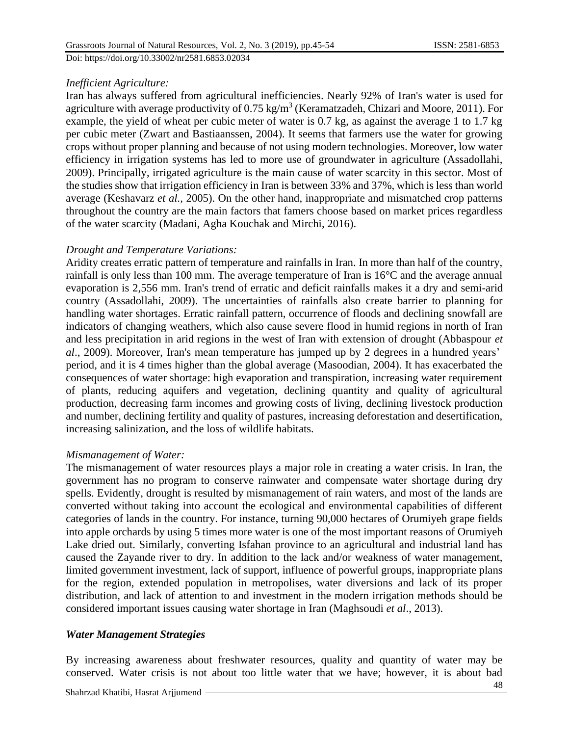*Inefficient Agriculture:*

Iran has always suffered from agricultural inefficiencies. Nearly 92% of Iran's water is used for agriculture with average productivity of 0.75 kg/m<sup>3</sup> (Keramatzadeh, Chizari and Moore, 2011). For example, the yield of wheat per cubic meter of water is 0.7 kg, as against the average 1 to 1.7 kg per cubic meter (Zwart and Bastiaanssen, 2004). It seems that farmers use the water for growing crops without proper planning and because of not using modern technologies. Moreover, low water efficiency in irrigation systems has led to more use of groundwater in agriculture (Assadollahi, 2009). Principally, irrigated agriculture is the main cause of water scarcity in this sector. Most of the studies show that irrigation efficiency in Iran is between 33% and 37%, which is less than world average (Keshavarz *et al.,* 2005). On the other hand, inappropriate and mismatched crop patterns throughout the country are the main factors that famers choose based on market prices regardless of the water scarcity (Madani, Agha Kouchak and Mirchi, 2016).

# *Drought and Temperature Variations:*

Aridity creates erratic pattern of temperature and rainfalls in Iran. In more than half of the country, rainfall is only less than 100 mm. The average temperature of Iran is 16°C and the average annual evaporation is 2,556 mm. Iran's trend of erratic and deficit rainfalls makes it a dry and semi-arid country (Assadollahi, 2009). The uncertainties of rainfalls also create barrier to planning for handling water shortages. Erratic rainfall pattern, occurrence of floods and declining snowfall are indicators of changing weathers, which also cause severe flood in humid regions in north of Iran and less precipitation in arid regions in the west of Iran with extension of drought (Abbaspour *et al*., 2009). Moreover, Iran's mean temperature has jumped up by 2 degrees in a hundred years' period, and it is 4 times higher than the global average (Masoodian, 2004). It has exacerbated the consequences of water shortage: high evaporation and transpiration, increasing water requirement of plants, reducing aquifers and vegetation, declining quantity and quality of agricultural production, decreasing farm incomes and growing costs of living, declining livestock production and number, declining fertility and quality of pastures, increasing deforestation and desertification, increasing salinization, and the loss of wildlife habitats.

## *Mismanagement of Water:*

The mismanagement of water resources plays a major role in creating a water crisis. In Iran, the government has no program to conserve rainwater and compensate water shortage during dry spells. Evidently, drought is resulted by mismanagement of rain waters, and most of the lands are converted without taking into account the ecological and environmental capabilities of different categories of lands in the country. For instance, turning 90,000 hectares of Orumiyeh grape fields into apple orchards by using 5 times more water is one of the most important reasons of Orumiyeh Lake dried out. Similarly, converting Isfahan province to an agricultural and industrial land has caused the Zayande river to dry. In addition to the lack and/or weakness of water management, limited government investment, lack of support, influence of powerful groups, inappropriate plans for the region, extended population in metropolises, water diversions and lack of its proper distribution, and lack of attention to and investment in the modern irrigation methods should be considered important issues causing water shortage in Iran (Maghsoudi *et al*., 2013).

# *Water Management Strategies*

By increasing awareness about freshwater resources, quality and quantity of water may be conserved. Water crisis is not about too little water that we have; however, it is about bad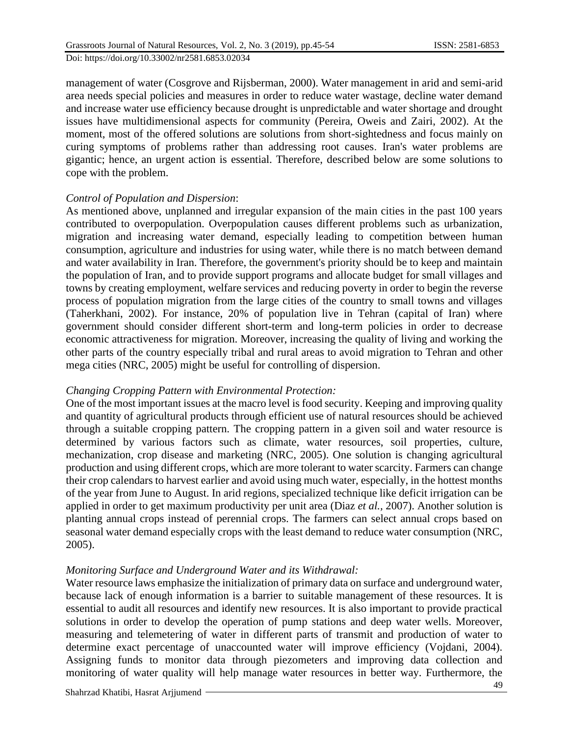management of water (Cosgrove and Rijsberman, 2000). Water management in arid and semi-arid area needs special policies and measures in order to reduce water wastage, decline water demand and increase water use efficiency because drought is unpredictable and water shortage and drought issues have multidimensional aspects for community (Pereira, Oweis and Zairi, 2002). At the moment, most of the offered solutions are solutions from short-sightedness and focus mainly on curing symptoms of problems rather than addressing root causes. Iran's water problems are gigantic; hence, an urgent action is essential. Therefore, described below are some solutions to cope with the problem.

#### *Control of Population and Dispersion*:

As mentioned above, unplanned and irregular expansion of the main cities in the past 100 years contributed to overpopulation. Overpopulation causes different problems such as urbanization, migration and increasing water demand, especially leading to competition between human consumption, agriculture and industries for using water, while there is no match between demand and water availability in Iran. Therefore, the government's priority should be to keep and maintain the population of Iran, and to provide support programs and allocate budget for small villages and towns by creating employment, welfare services and reducing poverty in order to begin the reverse process of population migration from the large cities of the country to small towns and villages (Taherkhani, 2002). For instance, 20% of population live in Tehran (capital of Iran) where government should consider different short-term and long-term policies in order to decrease economic attractiveness for migration. Moreover, increasing the quality of living and working the other parts of the country especially tribal and rural areas to avoid migration to Tehran and other mega cities (NRC, 2005) might be useful for controlling of dispersion.

## *Changing Cropping Pattern with Environmental Protection:*

One of the most important issues at the macro level is food security. Keeping and improving quality and quantity of agricultural products through efficient use of natural resources should be achieved through a suitable cropping pattern. The cropping pattern in a given soil and water resource is determined by various factors such as climate, water resources, soil properties, culture, mechanization, crop disease and marketing (NRC, 2005). One solution is changing agricultural production and using different crops, which are more tolerant to water scarcity. Farmers can change their crop calendars to harvest earlier and avoid using much water, especially, in the hottest months of the year from June to August. In arid regions, specialized technique like deficit irrigation can be applied in order to get maximum productivity per unit area (Diaz *et al.,* 2007). Another solution is planting annual crops instead of perennial crops. The farmers can select annual crops based on seasonal water demand especially crops with the least demand to reduce water consumption (NRC, 2005).

## *Monitoring Surface and Underground Water and its Withdrawal:*

Water resource laws emphasize the initialization of primary data on surface and underground water, because lack of enough information is a barrier to suitable management of these resources. It is essential to audit all resources and identify new resources. It is also important to provide practical solutions in order to develop the operation of pump stations and deep water wells. Moreover, measuring and telemetering of water in different parts of transmit and production of water to determine exact percentage of unaccounted water will improve efficiency (Vojdani, 2004). Assigning funds to monitor data through piezometers and improving data collection and monitoring of water quality will help manage water resources in better way. Furthermore, the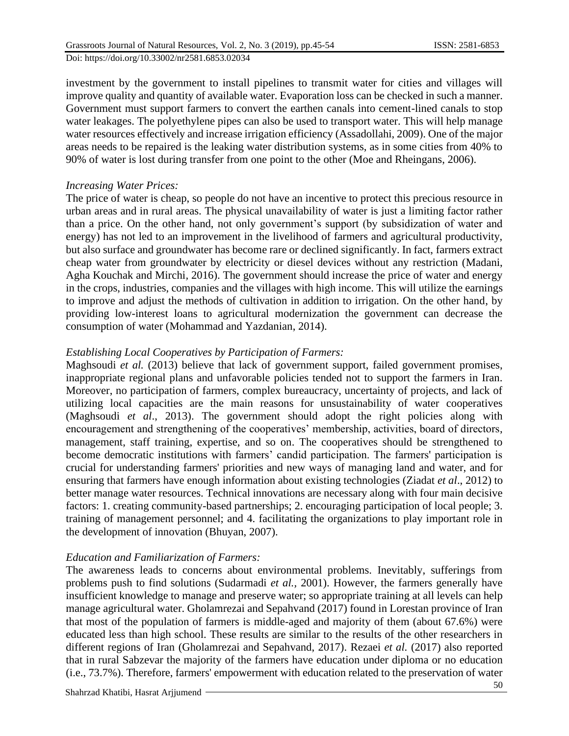investment by the government to install pipelines to transmit water for cities and villages will improve quality and quantity of available water. Evaporation loss can be checked in such a manner. Government must support farmers to convert the earthen canals into cement-lined canals to stop water leakages. The polyethylene pipes can also be used to transport water. This will help manage water resources effectively and increase irrigation efficiency (Assadollahi, 2009). One of the major areas needs to be repaired is the leaking water distribution systems, as in some cities from 40% to 90% of water is lost during transfer from one point to the other (Moe and Rheingans, 2006).

## *Increasing Water Prices:*

The price of water is cheap, so people do not have an incentive to protect this precious resource in urban areas and in rural areas. The physical unavailability of water is just a limiting factor rather than a price. On the other hand, not only government's support (by subsidization of water and energy) has not led to an improvement in the livelihood of farmers and agricultural productivity, but also surface and groundwater has become rare or declined significantly. In fact, farmers extract cheap water from groundwater by electricity or diesel devices without any restriction (Madani, Agha Kouchak and Mirchi*,* 2016). The government should increase the price of water and energy in the crops, industries, companies and the villages with high income. This will utilize the earnings to improve and adjust the methods of cultivation in addition to irrigation. On the other hand, by providing low-interest loans to agricultural modernization the government can decrease the consumption of water (Mohammad and Yazdanian, 2014).

# *Establishing Local Cooperatives by Participation of Farmers:*

Maghsoudi *et al.* (2013) believe that lack of government support, failed government promises, inappropriate regional plans and unfavorable policies tended not to support the farmers in Iran. Moreover, no participation of farmers, complex bureaucracy, uncertainty of projects, and lack of utilizing local capacities are the main reasons for unsustainability of water cooperatives (Maghsoudi *et al*., 2013). The government should adopt the right policies along with encouragement and strengthening of the cooperatives' membership, activities, board of directors, management, staff training, expertise, and so on. The cooperatives should be strengthened to become democratic institutions with farmers' candid participation. The farmers' participation is crucial for understanding farmers' priorities and new ways of managing land and water, and for ensuring that farmers have enough information about existing technologies (Ziadat *et al*., 2012) to better manage water resources. Technical innovations are necessary along with four main decisive factors: 1. creating community-based partnerships; 2. encouraging participation of local people; 3. training of management personnel; and 4. facilitating the organizations to play important role in the development of innovation (Bhuyan, 2007).

## *Education and Familiarization of Farmers:*

The awareness leads to concerns about environmental problems. Inevitably, sufferings from problems push to find solutions (Sudarmadi *et al.,* 2001). However, the farmers generally have insufficient knowledge to manage and preserve water; so appropriate training at all levels can help manage agricultural water. Gholamrezai and Sepahvand (2017) found in Lorestan province of Iran that most of the population of farmers is middle-aged and majority of them (about 67.6%) were educated less than high school. These results are similar to the results of the other researchers in different regions of Iran (Gholamrezai and Sepahvand, 2017). Rezaei *et al.* (2017) also reported that in rural Sabzevar the majority of the farmers have education under diploma or no education (i.e., 73.7%). Therefore, farmers' empowerment with education related to the preservation of water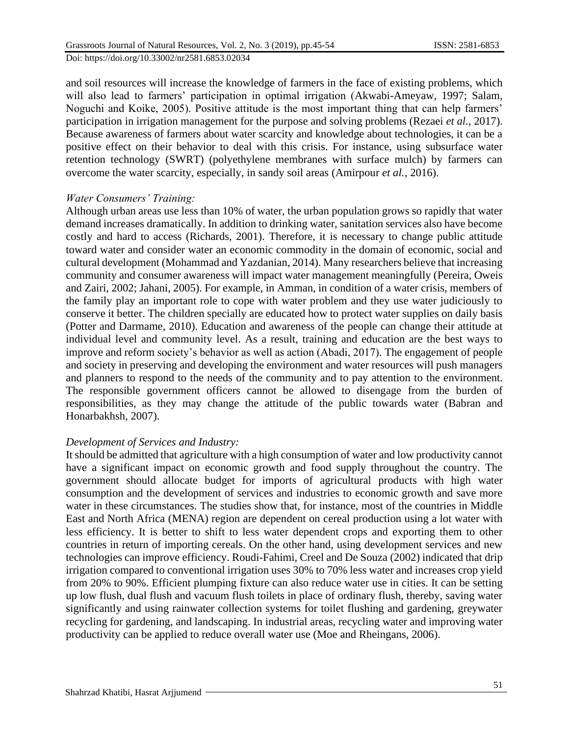and soil resources will increase the knowledge of farmers in the face of existing problems, which will also lead to farmers' participation in optimal irrigation (Akwabi-Ameyaw, 1997; Salam, Noguchi and Koike, 2005). Positive attitude is the most important thing that can help farmers' participation in irrigation management for the purpose and solving problems (Rezaei *et al.,* 2017). Because awareness of farmers about water scarcity and knowledge about technologies, it can be a positive effect on their behavior to deal with this crisis. For instance, using subsurface water retention technology (SWRT) (polyethylene membranes with surface mulch) by farmers can overcome the water scarcity, especially, in sandy soil areas (Amirpour *et al.,* 2016).

#### *Water Consumers' Training:*

Although urban areas use less than 10% of water, the urban population grows so rapidly that water demand increases dramatically. In addition to drinking water, sanitation services also have become costly and hard to access (Richards, 2001). Therefore, it is necessary to change public attitude toward water and consider water an economic commodity in the domain of economic, social and cultural development (Mohammad and Yazdanian, 2014). Many researchers believe that increasing community and consumer awareness will impact water management meaningfully (Pereira, Oweis and Zairi, 2002; Jahani, 2005). For example, in Amman, in condition of a water crisis, members of the family play an important role to cope with water problem and they use water judiciously to conserve it better. The children specially are educated how to protect water supplies on daily basis (Potter and Darmame, 2010). Education and awareness of the people can change their attitude at individual level and community level. As a result, training and education are the best ways to improve and reform society's behavior as well as action (Abadi, 2017). The engagement of people and society in preserving and developing the environment and water resources will push managers and planners to respond to the needs of the community and to pay attention to the environment. The responsible government officers cannot be allowed to disengage from the burden of responsibilities, as they may change the attitude of the public towards water (Babran and Honarbakhsh, 2007).

## *Development of Services and Industry:*

It should be admitted that agriculture with a high consumption of water and low productivity cannot have a significant impact on economic growth and food supply throughout the country. The government should allocate budget for imports of agricultural products with high water consumption and the development of services and industries to economic growth and save more water in these circumstances. The studies show that, for instance, most of the countries in Middle East and North Africa (MENA) region are dependent on cereal production using a lot water with less efficiency. It is better to shift to less water dependent crops and exporting them to other countries in return of importing cereals. On the other hand, using development services and new technologies can improve efficiency. Roudi-Fahimi, Creel and De Souza (2002) indicated that drip irrigation compared to conventional irrigation uses 30% to 70% less water and increases crop yield from 20% to 90%. Efficient plumping fixture can also reduce water use in cities. It can be setting up low flush, dual flush and vacuum flush toilets in place of ordinary flush, thereby, saving water significantly and using rainwater collection systems for toilet flushing and gardening, greywater recycling for gardening, and landscaping. In industrial areas, recycling water and improving water productivity can be applied to reduce overall water use (Moe and Rheingans, 2006).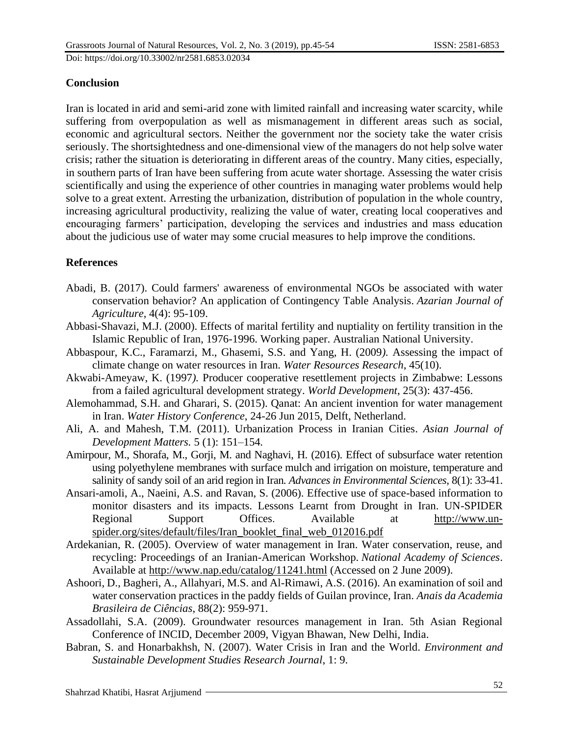# **Conclusion**

Iran is located in arid and semi-arid zone with limited rainfall and increasing water scarcity, while suffering from overpopulation as well as mismanagement in different areas such as social, economic and agricultural sectors. Neither the government nor the society take the water crisis seriously. The shortsightedness and one-dimensional view of the managers do not help solve water crisis; rather the situation is deteriorating in different areas of the country. Many cities, especially, in southern parts of Iran have been suffering from acute water shortage. Assessing the water crisis scientifically and using the experience of other countries in managing water problems would help solve to a great extent. Arresting the urbanization, distribution of population in the whole country, increasing agricultural productivity, realizing the value of water, creating local cooperatives and encouraging farmers' participation, developing the services and industries and mass education about the judicious use of water may some crucial measures to help improve the conditions.

# **References**

- Abadi, B. (2017). Could farmers' awareness of environmental NGOs be associated with water conservation behavior? An application of Contingency Table Analysis. *Azarian Journal of Agriculture*, 4(4): 95-109.
- Abbasi-Shavazi, M.J. (2000). Effects of marital fertility and nuptiality on fertility transition in the Islamic Republic of Iran, 1976-1996. Working paper. Australian National University.
- Abbaspour, K.C., Faramarzi, M., Ghasemi, S.S. and Yang, H. (2009*).* Assessing the impact of climate change on water resources in Iran. *Water Resources Research*, 45(10).
- Akwabi-Ameyaw, K. (1997*).* Producer cooperative resettlement projects in Zimbabwe: Lessons from a failed agricultural development strategy. *World Development*, 25(3): 437-456.
- Alemohammad, S.H. and Gharari, S. (2015). Qanat: An ancient invention for water management in Iran. *Water History Conference*, 24-26 Jun 2015, Delft, Netherland.
- Ali, A. and Mahesh, T.M. (2011). Urbanization Process in Iranian Cities. *Asian Journal of Development Matters.* 5 (1): 151–154*.*
- Amirpour, M., Shorafa, M., Gorji, M. and Naghavi, H. (2016). Effect of subsurface water retention using polyethylene membranes with surface mulch and irrigation on moisture, temperature and salinity of sandy soil of an arid region in Iran*. Advances in Environmental Sciences*, 8(1): 33-41.
- Ansari-amoli, A., Naeini, A.S. and Ravan, S. (2006). Effective use of space-based information to monitor disasters and its impacts. Lessons Learnt from Drought in Iran. UN-SPIDER Regional Support Offices. Available at [http://www.un](http://www.un-spider.org/sites/default/files/Iran_booklet_final_web_012016.pdf)[spider.org/sites/default/files/Iran\\_booklet\\_final\\_web\\_012016.pdf](http://www.un-spider.org/sites/default/files/Iran_booklet_final_web_012016.pdf)
- Ardekanian, R. (2005). Overview of water management in Iran. Water conservation, reuse, and recycling: Proceedings of an Iranian-American Workshop. *National Academy of Sciences*. Available at<http://www.nap.edu/catalog/11241.html> (Accessed on 2 June 2009).
- Ashoori, D., Bagheri, A., Allahyari, M.S. and Al-Rimawi, A.S. (2016). An examination of soil and water conservation practices in the paddy fields of Guilan province, Iran. *Anais da Academia Brasileira de Ciências*, 88(2): 959-971.
- Assadollahi, S.A. (2009). Groundwater resources management in Iran. 5th Asian Regional Conference of INCID, December 2009, Vigyan Bhawan, New Delhi, India.
- Babran, S. and Honarbakhsh, N. (2007). Water Crisis in Iran and the World. *Environment and Sustainable Development Studies Research Journal*, 1: 9.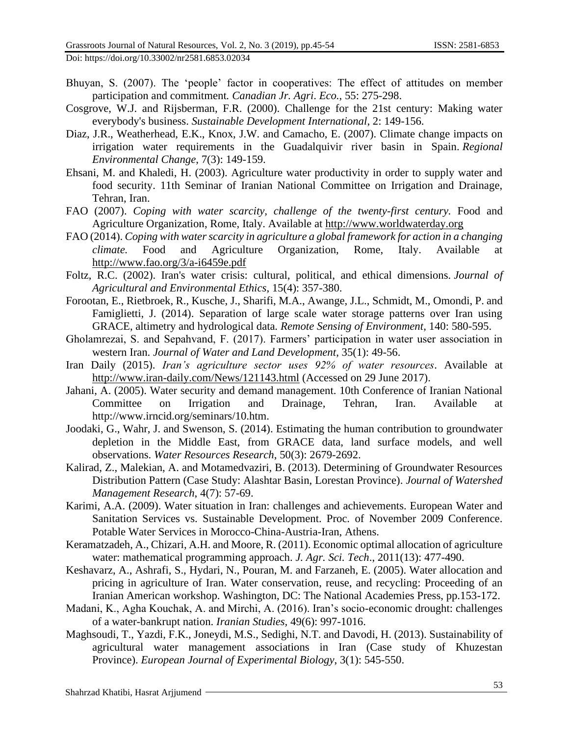Doi: https://doi.org/10.33002/nr2581.6853.02034

- Bhuyan, S. (2007). The 'people' factor in cooperatives: The effect of attitudes on member participation and commitment*. Canadian Jr. Agri*. *Eco.*, 55: 275-298.
- Cosgrove, W.J. and Rijsberman, F.R. (2000). Challenge for the 21st century: Making water everybody's business. *Sustainable Development International*, 2: 149-156.
- Diaz, J.R., Weatherhead, E.K., Knox, J.W. and Camacho, E. (2007). Climate change impacts on irrigation water requirements in the Guadalquivir river basin in Spain. *Regional Environmental Change*, 7(3): 149-159.
- Ehsani, M. and Khaledi, H. (2003). Agriculture water productivity in order to supply water and food security. 11th Seminar of Iranian National Committee on Irrigation and Drainage, Tehran, Iran.
- FAO (2007). *Coping with water scarcity, challenge of the twenty-first century.* Food and Agriculture Organization, Rome, Italy. Available at [http://www.worldwaterday.org](http://www.worldwaterday.org/)
- FAO (2014). *Coping with water scarcity in agriculture a global framework for action in a changing climate.* Food and Agriculture Organization, Rome, Italy. Available at <http://www.fao.org/3/a-i6459e.pdf>
- Foltz, R.C. (2002). Iran's water crisis: cultural, political, and ethical dimensions. *Journal of Agricultural and Environmental Ethics*, 15(4): 357-380.
- Forootan, E., Rietbroek, R., Kusche, J., Sharifi, M.A., Awange, J.L., Schmidt, M., Omondi, P. and Famiglietti, J. (2014). Separation of large scale water storage patterns over Iran using GRACE, altimetry and hydrological data*. Remote Sensing of Environment*, 140: 580-595.
- Gholamrezai, S. and Sepahvand, F. (2017). Farmers' participation in water user association in western Iran. *Journal of Water and Land Development*, 35(1): 49-56.
- Iran Daily (2015). *Iran's agriculture sector uses 92% of water resources*. Available at <http://www.iran-daily.com/News/121143.html> (Accessed on 29 June 2017).
- Jahani, A. (2005). Water security and demand management. 10th Conference of Iranian National Committee on Irrigation and Drainage*,* Tehran, Iran. Available at http://www.irncid.org/seminars/10.htm.
- Joodaki, G., Wahr, J. and Swenson, S. (2014). Estimating the human contribution to groundwater depletion in the Middle East, from GRACE data, land surface models, and well observations. *Water Resources Research*, 50(3): 2679-2692.
- Kalirad, Z., Malekian, A. and Motamedvaziri, B. (2013). Determining of Groundwater Resources Distribution Pattern (Case Study: Alashtar Basin, Lorestan Province). *Journal of Watershed Management Research*, 4(7): 57-69.
- Karimi, A.A. (2009). Water situation in Iran: challenges and achievements. European Water and Sanitation Services vs. Sustainable Development. Proc. of November 2009 Conference. Potable Water Services in Morocco-China-Austria-Iran, Athens.
- Keramatzadeh, A., Chizari, A.H. and Moore, R. (2011). Economic optimal allocation of agriculture water: mathematical programming approach. *J. Agr. Sci. Tech*., 2011(13): 477-490.
- Keshavarz, A., Ashrafi, S., Hydari, N., Pouran, M. and Farzaneh, E. (2005). Water allocation and pricing in agriculture of Iran. Water conservation, reuse, and recycling: Proceeding of an Iranian American workshop. Washington, DC: The National Academies Press, pp.153-172.
- Madani, K., Agha Kouchak, A. and Mirchi, A. (2016). Iran's socio-economic drought: challenges of a water-bankrupt nation. *Iranian Studies,* 49(6): 997-1016.
- Maghsoudi, T., Yazdi, F.K., Joneydi, M.S., Sedighi, N.T. and Davodi, H. (2013). Sustainability of agricultural water management associations in Iran (Case study of Khuzestan Province). *European Journal of Experimental Biology*, 3(1): 545-550.